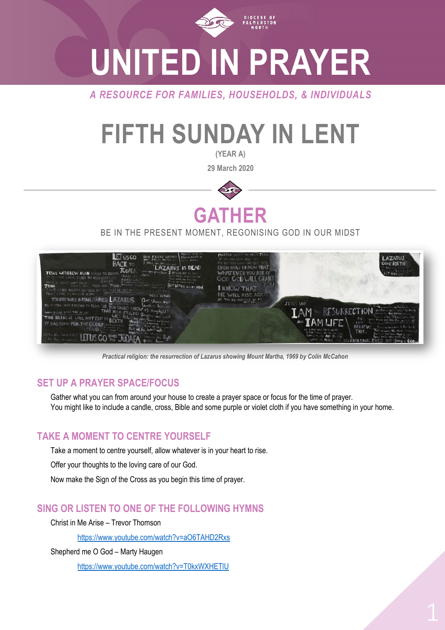

# **UNITED IN PRAYER**

*A RESOURCE FOR FAMILIES, HOUSEHOLDS, & INDIVIDUALS*

## **FIFTH SUNDAY IN LENT**

**(YEAR A)**

**29 March 2020**



BE IN THE PRESENT MOMENT, REGONISING GOD IN OUR MIDST



*Practical religion: the resurrection of Lazarus showing Mount Martha, 1969 by Colin McCahon*

#### **SET UP A PRAYER SPACE/FOCUS**

Gather what you can from around your house to create a prayer space or focus for the time of prayer. You might like to include a candle, cross, Bible and some purple or violet cloth if you have something in your home.

#### **TAKE A MOMENT TO CENTRE YOURSELF**

Take a moment to centre yourself, allow whatever is in your heart to rise.

Offer your thoughts to the loving care of our God.

Now make the Sign of the Cross as you begin this time of prayer.

#### **SING OR LISTEN TO ONE OF THE FOLLOWING HYMNS**

#### Christ in Me Arise – Trevor Thomson

<https://www.youtube.com/watch?v=aO6TAHD2Rxs>

Shepherd me O God – Marty Haugen

<https://www.youtube.com/watch?v=T0kxWXHETlU>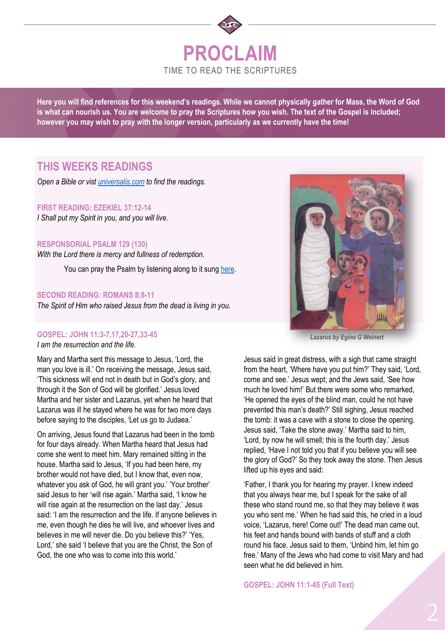

**Here you will find references for this weekend's readings. While we cannot physically gather for Mass, the Word of God is what can nourish us. You are welcome to pray the Scriptures how you wish. The text of the Gospel is included; however you may wish to pray with the longer version, particularly as we currently have the time!** 

### **THIS WEEKS READINGS**

*Open a Bible or vist [universalis.com](https://universalis.com/) to find the readings.* 

**FIRST READING: EZEKIEL 37:12-14**

*I Shall put my Spirit in you, and you will live.*

#### **RESPONSORIAL PSALM 129 (130)**

*With the Lord there is mercy and fullness of redemption.*

You can pray the Psalm by listening along to it sung [here.](https://www.youtube.com/watch?v=1rmZQ-UV9cM)

#### **SECOND READING: ROMANS 8:8-11**

*The Spirit of Him who raised Jesus from the dead is living in you.* 

#### **GOSPEL: JOHN 11:3-7,17,20-27,33-45**

*I am the resurrection and the life.* 

Mary and Martha sent this message to Jesus, 'Lord, the man you love is ill.' On receiving the message, Jesus said, 'This sickness will end not in death but in God's glory, and through it the Son of God will be glorified.' Jesus loved Martha and her sister and Lazarus, yet when he heard that Lazarus was ill he stayed where he was for two more days before saying to the disciples, 'Let us go to Judaea.'

On arriving, Jesus found that Lazarus had been in the tomb for four days already. When Martha heard that Jesus had come she went to meet him. Mary remained sitting in the house. Martha said to Jesus, 'If you had been here, my brother would not have died, but I know that, even now, whatever you ask of God, he will grant you.' 'Your brother' said Jesus to her 'will rise again.' Martha said, 'I know he will rise again at the resurrection on the last day.' Jesus said: 'I am the resurrection and the life. If anyone believes in me, even though he dies he will live, and whoever lives and believes in me will never die. Do you believe this?' 'Yes, Lord,' she said 'I believe that you are the Christ, the Son of God, the one who was to come into this world.'



*Lazarus by Egino G Weinert*

Jesus said in great distress, with a sigh that came straight from the heart, 'Where have you put him?' They said, 'Lord, come and see.' Jesus wept; and the Jews said, 'See how much he loved him!' But there were some who remarked, 'He opened the eyes of the blind man, could he not have prevented this man's death?' Still sighing, Jesus reached the tomb: it was a cave with a stone to close the opening. Jesus said, 'Take the stone away.' Martha said to him, 'Lord, by now he will smell; this is the fourth day.' Jesus replied, 'Have I not told you that if you believe you will see the glory of God?' So they took away the stone. Then Jesus lifted up his eyes and said:

'Father, I thank you for hearing my prayer. I knew indeed that you always hear me, but I speak for the sake of all these who stand round me, so that they may believe it was you who sent me.' When he had said this, he cried in a loud voice, 'Lazarus, here! Come out!' The dead man came out, his feet and hands bound with bands of stuff and a cloth round his face. Jesus said to them, 'Unbind him, let him go free.' Many of the Jews who had come to visit Mary and had seen what he did believed in him.

#### **GOSPEL: JOHN 11:1-45 (Full Text)**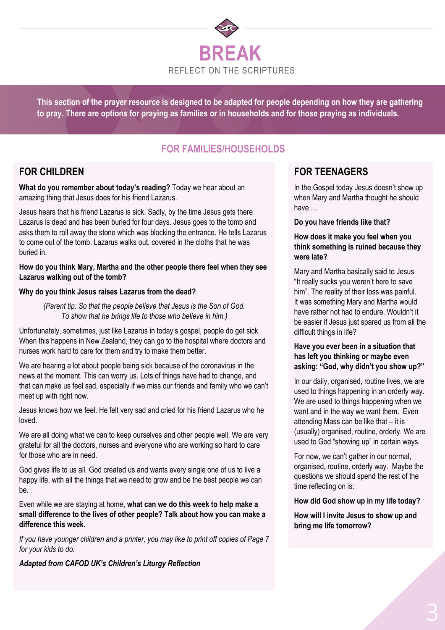

**This section of the prayer resource is designed to be adapted for people depending on how they are gathering to pray. There are options for praying as families or in households and for those praying as individuals.**

#### **FOR FAMILIES/HOUSEHOLDS**

#### **FOR CHILDREN**

**What do you remember about today's reading?** Today we hear about an amazing thing that Jesus does for his friend Lazarus.

Jesus hears that his friend Lazarus is sick. Sadly, by the time Jesus gets there Lazarus is dead and has been buried for four days. Jesus goes to the tomb and asks them to roll away the stone which was blocking the entrance. He tells Lazarus to come out of the tomb. Lazarus walks out, covered in the cloths that he was buried in.

**How do you think Mary, Martha and the other people there feel when they see Lazarus walking out of the tomb?** 

#### **Why do you think Jesus raises Lazarus from the dead?**

*(Parent tip: So that the people believe that Jesus is the Son of God. To show that he brings life to those who believe in him.)*

Unfortunately, sometimes, just like Lazarus in today's gospel, people do get sick. When this happens in New Zealand, they can go to the hospital where doctors and nurses work hard to care for them and try to make them better.

We are hearing a lot about people being sick because of the coronavirus in the news at the moment. This can worry us. Lots of things have had to change, and that can make us feel sad, especially if we miss our friends and family who we can't meet up with right now.

Jesus knows how we feel. He felt very sad and cried for his friend Lazarus who he loved.

We are all doing what we can to keep ourselves and other people well. We are very grateful for all the doctors, nurses and everyone who are working so hard to care for those who are in need.

God gives life to us all. God created us and wants every single one of us to live a happy life, with all the things that we need to grow and be the best people we can be.

Even while we are staying at home, **what can we do this week to help make a small difference to the lives of other people? Talk about how you can make a difference this week.**

*If you have younger children and a printer, you may like to print off copies of Page 7 for your kids to do.*

#### *Adapted from CAFOD UK's Children's Liturgy Reflection*

#### **FOR TEENAGERS**

In the Gospel today Jesus doesn't show up when Mary and Martha thought he should have …

**Do you have friends like that?**

**How does it make you feel when you think something is ruined because they were late?**

Mary and Martha basically said to Jesus "It really sucks you weren't here to save him". The reality of their loss was painful. It was something Mary and Martha would have rather not had to endure. Wouldn't it be easier if Jesus just spared us from all the difficult things in life?

#### **Have you ever been in a situation that has left you thinking or maybe even asking: "God, why didn't you show up?"**

In our daily, organised, routine lives, we are used to things happening in an orderly way. We are used to things happening when we want and in the way we want them. Even attending Mass can be like that – it is (usually) organised, routine, orderly. We are used to God "showing up" in certain ways.

For now, we can't gather in our normal, organised, routine, orderly way. Maybe the questions we should spend the rest of the time reflecting on is:

**How did God show up in my life today?**

**How will I invite Jesus to show up and bring me life tomorrow?**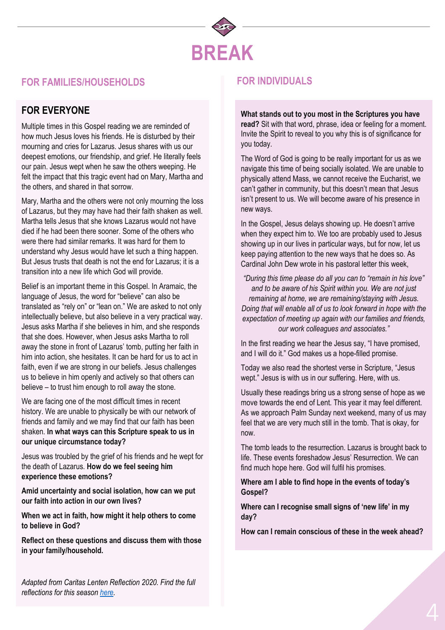

#### **FOR FAMILIES/HOUSEHOLDS FOR INDIVIDUALS**

#### **FOR EVERYONE**

Multiple times in this Gospel reading we are reminded of how much Jesus loves his friends. He is disturbed by their mourning and cries for Lazarus. Jesus shares with us our deepest emotions, our friendship, and grief. He literally feels our pain. Jesus wept when he saw the others weeping. He felt the impact that this tragic event had on Mary, Martha and the others, and shared in that sorrow.

Mary, Martha and the others were not only mourning the loss of Lazarus, but they may have had their faith shaken as well. Martha tells Jesus that she knows Lazarus would not have died if he had been there sooner. Some of the others who were there had similar remarks. It was hard for them to understand why Jesus would have let such a thing happen. But Jesus trusts that death is not the end for Lazarus; it is a transition into a new life which God will provide.

Belief is an important theme in this Gospel. In Aramaic, the language of Jesus, the word for "believe" can also be translated as "rely on" or "lean on." We are asked to not only intellectually believe, but also believe in a very practical way. Jesus asks Martha if she believes in him, and she responds that she does. However, when Jesus asks Martha to roll away the stone in front of Lazarus' tomb, putting her faith in him into action, she hesitates. It can be hard for us to act in faith, even if we are strong in our beliefs. Jesus challenges us to believe in him openly and actively so that others can believe – to trust him enough to roll away the stone.

We are facing one of the most difficult times in recent history. We are unable to physically be with our network of friends and family and we may find that our faith has been shaken. **In what ways can this Scripture speak to us in our unique circumstance today?**

Jesus was troubled by the grief of his friends and he wept for the death of Lazarus. **How do we feel seeing him experience these emotions?**

**Amid uncertainty and social isolation, how can we put our faith into action in our own lives?** 

**When we act in faith, how might it help others to come to believe in God?**

**Reflect on these questions and discuss them with those in your family/household.**

*Adapted from Caritas Lenten Reflection 2020. Find the full reflections for this season [here.](https://caritas.org.nz/system/files/2020%20LRP%20English.pdf)*

**What stands out to you most in the Scriptures you have read?** Sit with that word, phrase, idea or feeling for a moment. Invite the Spirit to reveal to you why this is of significance for you today.

The Word of God is going to be really important for us as we navigate this time of being socially isolated. We are unable to physically attend Mass, we cannot receive the Eucharist, we can't gather in community, but this doesn't mean that Jesus isn't present to us. We will become aware of his presence in new ways.

In the Gospel, Jesus delays showing up. He doesn't arrive when they expect him to. We too are probably used to Jesus showing up in our lives in particular ways, but for now, let us keep paying attention to the new ways that he does so. As Cardinal John Dew wrote in his pastoral letter this week,

*"During this time please do all you can to "remain in his love" and to be aware of his Spirit within you. We are not just remaining at home, we are remaining/staying with Jesus. Doing that will enable all of us to look forward in hope with the expectation of meeting up again with our families and friends, our work colleagues and associates."*

In the first reading we hear the Jesus say, "I have promised, and I will do it." God makes us a hope-filled promise.

Today we also read the shortest verse in Scripture, "Jesus wept." Jesus is with us in our suffering. Here, with us.

Usually these readings bring us a strong sense of hope as we move towards the end of Lent. This year it may feel different. As we approach Palm Sunday next weekend, many of us may feel that we are very much still in the tomb. That is okay, for now.

The tomb leads to the resurrection. Lazarus is brought back to life. These events foreshadow Jesus' Resurrection. We can find much hope here. God will fulfil his promises.

#### **Where am I able to find hope in the events of today's Gospel?**

**Where can I recognise small signs of 'new life' in my day?** 

**How can I remain conscious of these in the week ahead?**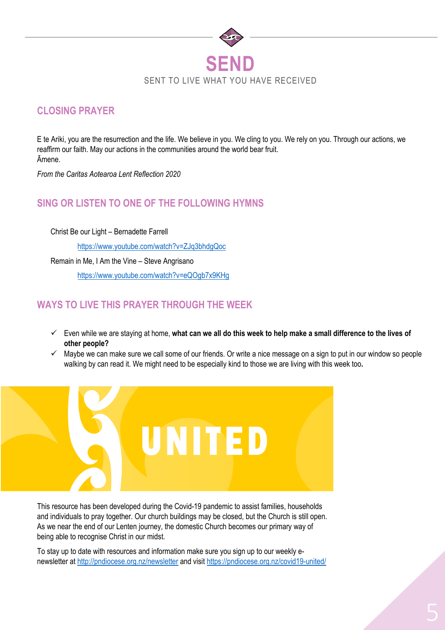

#### **CLOSING PRAYER**

E te Ariki, you are the resurrection and the life. We believe in you. We cling to you. We rely on you. Through our actions, we reaffirm our faith. May our actions in the communities around the world bear fruit. Āmene.

*From the Caritas Aotearoa Lent Reflection 2020*

#### **SING OR LISTEN TO ONE OF THE FOLLOWING HYMNS**

Christ Be our Light – Bernadette Farrell <https://www.youtube.com/watch?v=ZJq3bhdgQoc> Remain in Me, I Am the Vine – Steve Angrisano <https://www.youtube.com/watch?v=eQOgb7x9KHg>

### **WAYS TO LIVE THIS PRAYER THROUGH THE WEEK**

- Even while we are staying at home, **what can we all do this week to help make a small difference to the lives of other people?**
- $\checkmark$  Maybe we can make sure we call some of our friends. Or write a nice message on a sign to put in our window so people walking by can read it. We might need to be especially kind to those we are living with this week too**.**



This resource has been developed during the Covid-19 pandemic to assist families, households and individuals to pray together. Our church buildings may be closed, but the Church is still open. As we near the end of our Lenten journey, the domestic Church becomes our primary way of being able to recognise Christ in our midst.

To stay up to date with resources and information make sure you sign up to our weekly enewsletter at<http://pndiocese.org.nz/newsletter> and visit<https://pndiocese.org.nz/covid19-united/>